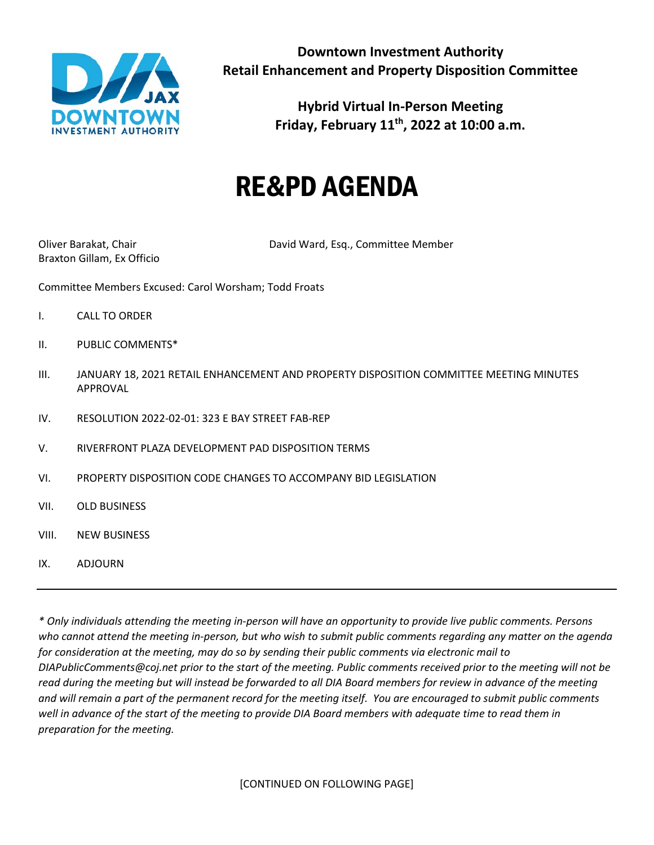

**Hybrid Virtual In-Person Meeting Friday, February 11th, 2022 at 10:00 a.m.**

## RE&PD AGENDA

Braxton Gillam, Ex Officio

Oliver Barakat, Chair David Ward, Esq., Committee Member

Committee Members Excused: Carol Worsham; Todd Froats

- I. CALL TO ORDER
- II. PUBLIC COMMENTS\*
- III. JANUARY 18, 2021 RETAIL ENHANCEMENT AND PROPERTY DISPOSITION COMMITTEE MEETING MINUTES APPROVAL
- IV. RESOLUTION 2022-02-01: 323 E BAY STREET FAB-REP
- V. RIVERFRONT PLAZA DEVELOPMENT PAD DISPOSITION TERMS
- VI. PROPERTY DISPOSITION CODE CHANGES TO ACCOMPANY BID LEGISLATION
- VII. OLD BUSINESS
- VIII. NEW BUSINESS
- IX. ADJOURN

*\* Only individuals attending the meeting in-person will have an opportunity to provide live public comments. Persons who cannot attend the meeting in-person, but who wish to submit public comments regarding any matter on the agenda for consideration at the meeting, may do so by sending their public comments via electronic mail to DIAPublicComments@coj.net prior to the start of the meeting. Public comments received prior to the meeting will not be read during the meeting but will instead be forwarded to all DIA Board members for review in advance of the meeting and will remain a part of the permanent record for the meeting itself. You are encouraged to submit public comments well in advance of the start of the meeting to provide DIA Board members with adequate time to read them in preparation for the meeting.*